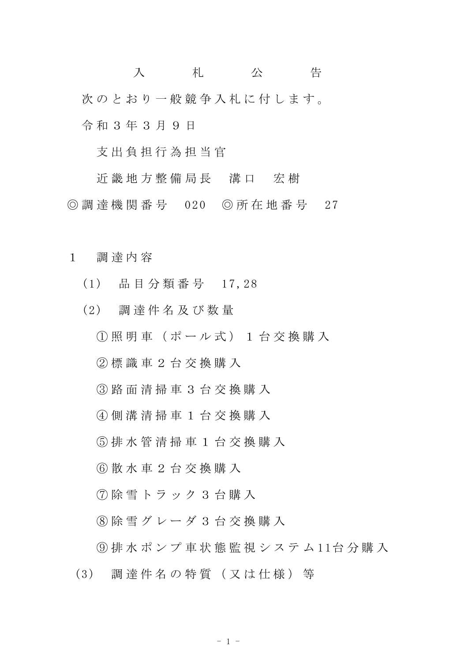入 札 公 告 次のとおり一般競争入札に付します。 令 和 3 年 3 月 9 日

支 出 負 担 行 為 担 当 官

近 畿 地 方 整 備 局 長 溝 口 宏 樹 ◎ 調 達 機 関 番 号 020 ◎ 所 在 地 番 号 27

- 1 調 達 内 容
	- (1) 品 目 分 類 番 号 1 7,28
	- (2) 調 達 件 名 及 び 数 量
		- ① 照 明 車 ( ポ ー ル 式 ) 1 台 交 換 購 入
		- ② 標 識 車 2 台 交 換 購 入
		- ③ 路 面 清 掃 車 3 台 交 換 購 入
		- ④ 側 溝 清 掃 車 1 台 交 換 購 入
		- ⑤ 排 水 管 清 掃 車 1 台 交 換 購 入
		- ⑥ 散 水 車 2 台 交 換 購 入
		- ⑦ 除 雪 ト ラ ッ ク 3 台 購 入
		- ⑧ 除 雪 グ レ ー ダ 3 台 交 換 購 入
	- ⑨ 排 水 ポ ン プ 車 状 態 監 視 シ ス テ ム 1 1台 分 購 入
	- (3) 調 達 件 名 の 特 質 ( 又 は 仕 様 ) 等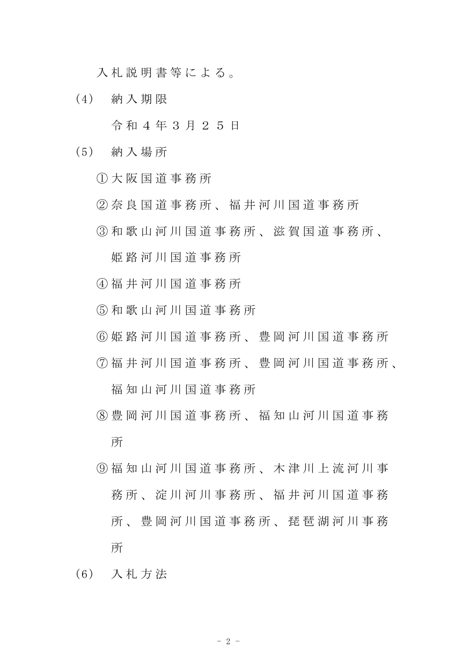入 札 説 明 書 等 に よ る 。

(4) 納 入 期 限

令 和 4 年 3 月 2 5 日

- (5) 納 入 場 所
	- ① 大 阪 国 道 事 務 所
	- ② 奈 良 国 道 事 務 所 、 福 井 河 川 国 道 事 務 所
	- ③ 和 歌 山 河 川 国 道 事 務 所 、 滋 賀 国 道 事 務 所 、

姫 路 河 川 国 道 事 務 所

- ④ 福 井 河 川 国 道 事 務 所
- ⑤ 和 歌 山 河 川 国 道 事 務 所
- ⑥ 姫 路 河 川 国 道 事 務 所 、 豊 岡 河 川 国 道 事 務 所
- ⑦ 福 井 河 川 国 道 事 務 所 、 豊 岡 河 川 国 道 事 務 所 、

福 知 山 河 川 国 道 事 務 所

- ⑧ 豊 岡 河 川 国 道 事 務 所 、 福 知 山 河 川 国 道 事 務 所
- ⑨ 福 知 山 河 川 国 道 事 務 所 、 木 津 川 上 流 河 川 事 務 所 、 淀 川 河 川 事 務 所 、 福 井 河 川 国 道 事 務 所 、 豊 岡 河 川 国 道 事 務 所 、 琵 琶 湖 河 川 事 務 所
- (6) 入 札 方 法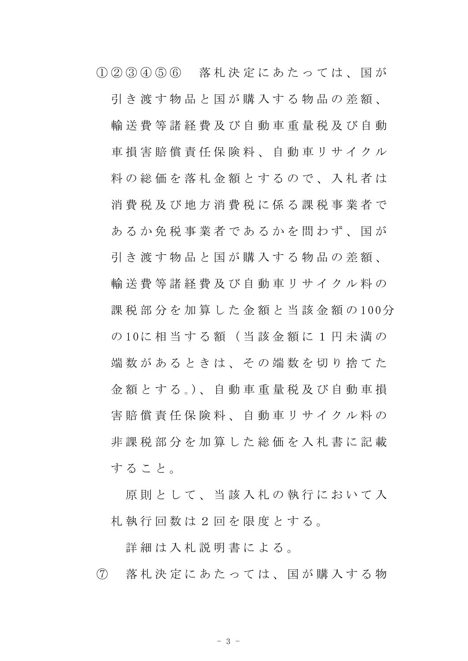① ② ③ ④ ⑤ ⑥ 落 札 決 定 に あ た っ て は 、 国 が 引 き 渡 す 物 品 と 国 が 購 入 す る 物 品 の 差 額 、 輸 送 費 等 諸 経 費 及 び 自 動 車 重 量 税 及 び 自 動 車 損 害 賠 償 責 任 保 険 料 、 自 動 車 リ サ イ ク ル 料の総価を落札金額とするので、入札者は 消 費 税 及 び 地 方 消 費 税 に 係 る 課 税 事 業 者 で あるか免税事業者であるかを問わず、国が 引 き 渡 す 物 品 と 国 が 購 入 す る 物 品 の 差 額 、 輪 送 費 等 諸 経 費 及 び 自 動 車 リ サ イ ク ル 料 の 課 税 部 分 を 加 算 し た 金 額 と 当 該 金 額 の 100分 の 10に 相 当 す る 額 ( 当 該 金 額 に 1 円 未 満 の 端 数 が あ る と き は 、 そ の 端 数 を 切 り 捨 て た 金 額 と す る 。)、 自 動 車 重 量 税 及 び 自 動 車 損 害 賠 償 責 任 保 険 料 、 自 動 車 リ サ イ ク ル 料 の 非 課 税 部 分 を 加 算 し た 総 価 を 入 札 書 に 記 載 す る こ と 。

原則として、当該入札の執行において入 札 執 行 回 数 は 2 回 を 限 度 と す る 。

詳 細 は 入 札 説 明 書 に よ る 。

⑦ 落 札 決 定 に あ た っ て は 、 国 が 購 入 す る 物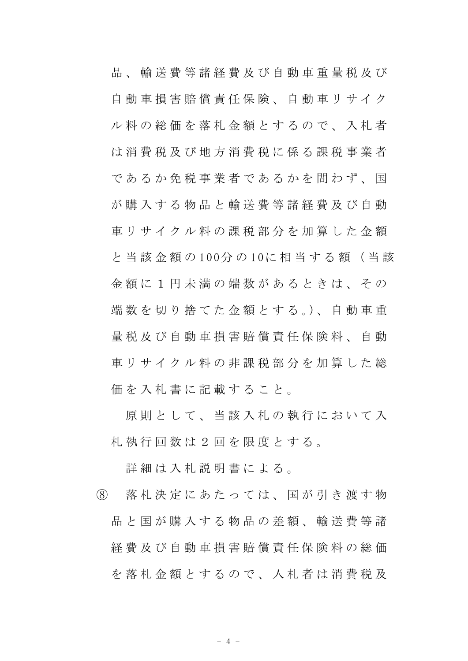品 、 輸 送 費 等 諸 経 費 及 び 自 動 車 重 量 税 及 び 自 動 車 損 害 賠 償 責 任 保 険 、 自 動 車 リ サ イ ク ル 料 の 総 価 を 落 札 金 額 と す る の で 、 入 札 者 は 消 費 税 及 び 地 方 消 費 税 に 係 る 課 税 事 業 者 であるか免税事業者であるかを問わず、国 が 購 入 す る 物 品 と 輸 送 費 等 諸 経 費 及 び 自 動 車リサイクル料の課税部分を加算した金額 と 当 該 金 額 の 100分 の 10に 相 当 す る 額 ( 当 該 金 額 に 1 円 未 満 の 端 数 が あ る と き は 、 そ の 端 数 を 切 り 捨 て た 金 額 と す る 。)、 自 動 車 重 量 税 及 び 自 動 車 損 害 賠 償 責 任 保 険 料 、 自 動 車 リ サ イ ク ル 料 の 非 課 税 部 分 を 加 算 し た 総 価を入札書に記載すること。

原則として、当該入札の執行において入 札 執 行 回 数 は 2 回 を 限 度 と す る 。

詳細は入札説明書による。

⑧ 落 札 決 定 に あ た っ て は 、 国 が 引 き 渡 す 物 品 と 国 が 購 入 す る 物 品 の 差 額 、 輸 送 費 等 諸 経 費 及 び 自 動 車 損 害 賠 償 責 任 保 険 料 の 総 価 を落札金額とするので、入札者は消費税及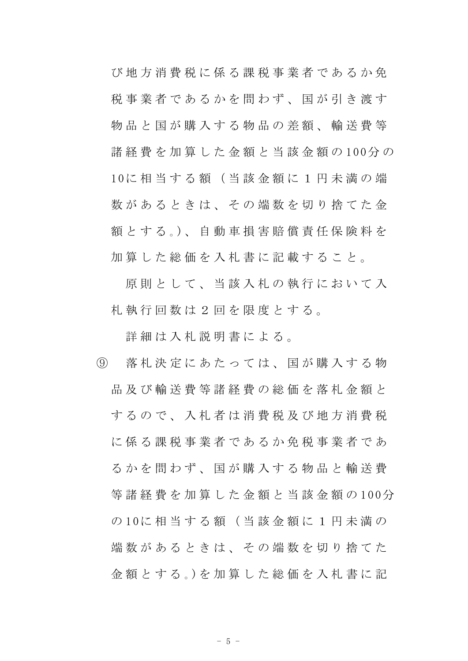び地方消費税に係る課税事業者であるか免 税事業者であるかを問わず、国が引き渡す 物 品 と 国 が 購 入 す る 物 品 の 差 額 、 輸 送 費 等 諸 経 費 を 加 算 し た 金 額 と 当 該 金 額 の 100分 の 10に 相 当 す る 額 ( 当 該 金 額 に 1 円 未 満 の 端 数があるときは、その端数を切り捨てた金 額 と す る 。)、 自 動 車 損 害 賠 償 責 任 保 険 料 を 加 算 し た 総 価 を 入 札 書 に 記 載 す る こ と 。

原則として、当該入札の執行において入 札 執 行 回 数 は 2 回 を 限 度 と す る 。

詳細は入札説明書による。

⑨ 落 札 決 定 に あ た っ て は 、 国 が 購 入 す る 物 品 及 び 輸 送 費 等 諸 経 費 の 総 価 を 落 札 金 額 と す る の で 、 入 札 者 は 消 費 税 及 び 地 方 消 費 税 に 係 る 課 税 事 業 者 で あ る か 免 税 事 業 者 で あ る か を 問 わ ず 、 国 が 購 入 す る 物 品 と 輸 送 費 等 諸 経 費 を 加 算 し た 金 額 と 当 該 金 額 の 100分 の 10に 相 当 す る 額 ( 当 該 金 額 に 1 円 未 満 の 端 数 が あ る と き は 、 そ の 端 数 を 切 り 捨 て た 金 額 と す る 。)を 加 算 し た 総 価 を 入 札 書 に 記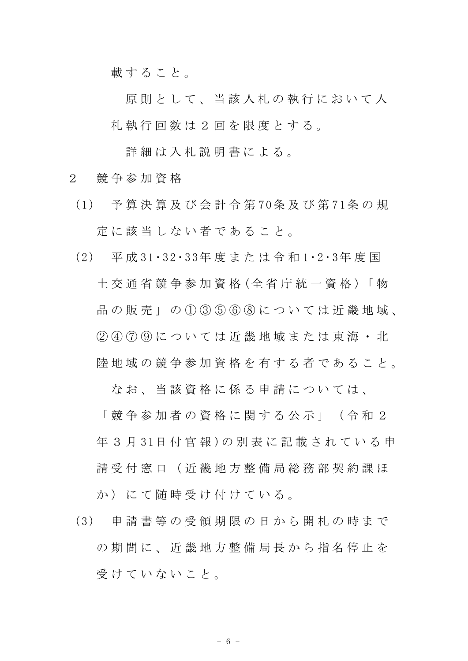載すること。

原則として、当該入札の執行において入 札 執 行 回 数 は 2 回 を 限 度 と す る 。

詳細は入札説明書による。

- 2 競 争 参 加 資 格
- (1) 予 算 決 算 及 び 会 計 令 第 70条 及 び 第 71条 の 規 定 に 該 当 し な い 者 で あ る こ と 。
- (2) 平 成 31・32 ・33年 度 ま た は 令 和 1・2・3年 度 国 土 交 通 省 競 争 参 加 資 格 (全 省 庁 統 一 資 格 )「 物 品 の 販 売 」 の 1 3 5 6 6 8 に つ い て は 近 畿 地 域 、 ② ④ ⑦ ⑨ に つ い て は 近 畿 地 域 ま た は 東 海 ・ 北 陸 地 域 の 競 争 参 加 資 格 を 有 す る 者 で あ る こ と 。

なお、当該資格に係る申請については、

「 競 争 参 加 者 の 資 格 に 関 す る 公 示 」 ( 令 和 2 年 3 月 31日 付 官 報 ) の 別 表 に 記 載 さ れ て い る 申 請 受 付 窓 口 (沂 畿 地 方 整 備 局 総 務 部 契 約 課 ほ か)にて随時受け付けている。

(3) 申 請 書 等 の 受 領 期 限 の 日 か ら 開 札 の 時 ま で の 期 間 に 、 近 畿 地 方 整 備 局 長 か ら 指 名 停 止 を 受けていないこと。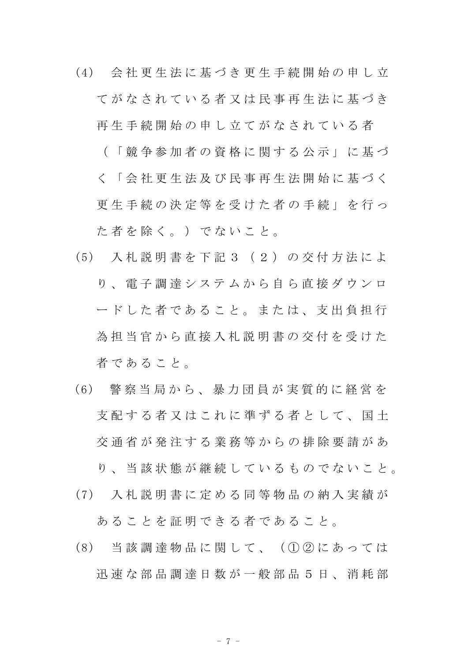(4) 会 社 更 生 法 に 基 づ き 更 生 手 続 開 始 の 申 し 立 てがなされている者又は民事再生決に基づき

再生手続 開 始 の 申 し 立 て が な さ れ て い る 者

- ( 「 競 争 参 加 者 の 資 格 に 関 す る 公 示 」 に 基 づ
- く 「 会 社 更 生 法 及 び 民 事 再 生 法 開 始 に 基 づ く

更 生 手 続 の 決 定 等 を 受 け た 者 の 手 続 」 を 行 っ た者を除く。)でないこと。

- (5) 入 札 説 明 書 を 下 記 3 ( 2 ) の 交 付 方 法 に よ り 、 電 子 調 達 シ ス テ ム か ら 自 ら 直 接 ダ ウ ン ロ ー ド し た 者 で あ る こ と 。 ま た は 、 支 出 負 担 行 為 担 当 官 か ら 直 接 入 札 説 明 書 の 交 付 を 受 け た 者 で あ る こ と 。
- ( 6) 警 察 当 局 か ら 、 暴 力 団 員 が 実 質 的 に 経 営 を 支 配 す る 者 又 は こ れ に 準 ず る 者 と し て 、 国 十 交 通 省 が 発 注 す る 業 務 等 か ら の 排 除 要 請 が あ

り 、 当 該 状 態 が 継 続 し て い る も の で な い こ と 。

(7) 入 札 説 明 書 に 定 め る 同 等 物 品 の 納 入 実 績 が

あ る こ と を 証 明 で き る 者 で あ る こ と 。

(8) 当 該 調 達 物 品 に 関 し て 、 ( ① ② に あ っ て は 迅 速 な 部 品 調 達 日 数 が 一 般 部 品 5 日 、 消 耗 部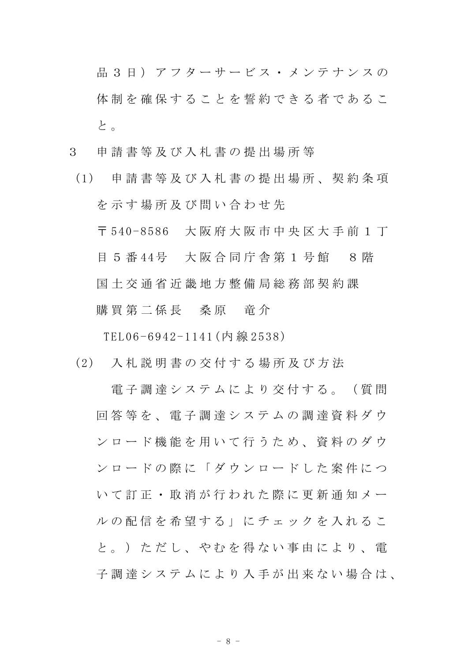品 3 日) アフターサービス・メンテナンスの 体制を確保することを誓約できる者であるこ と 。

- 3 申 請 書 等 及 び 入 札 書 の 提 出 場 所 等
- (1) 申 請 書 等 及 び 入 札 書 の 提 出 場 所 、 契 約 条 項 を示す場所及び問い合わせ先

〒 540-8586 大 阪 府 大 阪 市 中 央 区 大 手 前 1 丁 目 5 番 44号 大阪合同庁舎第 1 号館 8 階 国 土 交 通 省 近 畿 地 方 整 備 局 総 務 部 契 約 課

購 買 第 二 係 長 三 桑 原 三 竜 介

TEL06 -6942-1141(内 線 253 8)

(2) 入 札 説 明 書 の 交 付 す る 場 所 及 び 方 法

電子調達システムにより交付する。(質問 回 答 等 を 、 電 子 調 達 シ ス テ ム の 調 達 資 料 ダ ウ ン ロ ー ド 機 能 を 用 い て 行 う た め 、 資 料 の ダ ウ ン ロ ー ド の 際 に 「 ダ ウ ン ロ ー ド し た 案 件 に つ い て 訂 正 ・ 取 消 が 行 わ れ た 際 に 更 新 通 知 メ ー ル の 配 信 を 希 望 す る 」 に チ ェ ッ ク を 入 れ る こ と。) ただし、やむを得ない事由により、電 子 調 達 シ ス テ ム に よ り 入 手 が 出 来 な い 場 合 は 、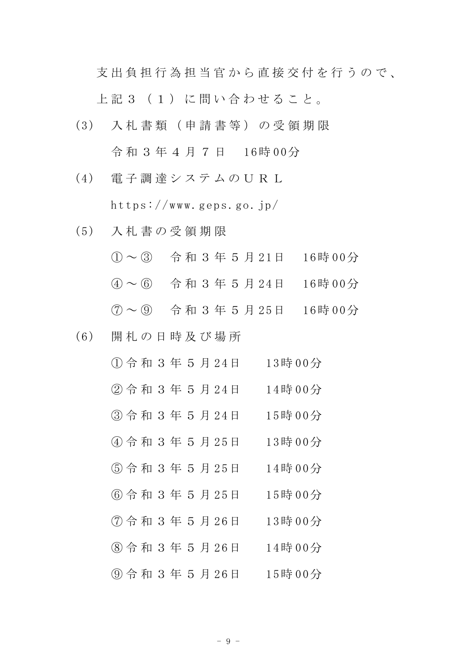支出負担行為担当官から直接交付を行うので、

上 記 3 ( 1 ) に 問 い 合 わ せ る こ と 。

- (3) 入 札 書 類 ( 申 請 書 等 ) の 受 領 期 限 令 和 3 年 4 月 7 日 16時 00分
- (4) 電 子 調 達 シ ス テ ム の U R L https://www.geps.go.jp/
- (5) 入 札 書 の 受 領 期 限
	- ① ~ ③ 令 和 3 年 5 月 21日 16時 00分
	- ④ ~ ⑥ 令 和 3 年 5 月 24日 16時 00分
	- ⑦ ~ ⑨ 令 和 3 年 5 月 25日 16時 00分
- (6) 開 札 の 日 時 及 び 場 所
	- ① 令 和 3 年 5 月 2 4日 13時 00分 ② 令 和 3 年 5 月 2 4日 14時 00分
	- ③ 令 和 3 年 5 月 24日 15時 0 0分
	- ④ 令 和 3 年 5 月 2 5日 13時 00分
	- ⑤ 令 和 3 年 5 月 2 5日 14時 00分
	- ⑥ 令 和 3 年 5 月 2 5日 15時 00分
	-
	- ⑦ 令 和 3 年 5 月 2 6日 13時 00分
	- ⑧ 令 和 3 年 5 月 2 6日 14時 00分
	- ⑨ 令 和 3 年 5 月 2 6日 15時 00分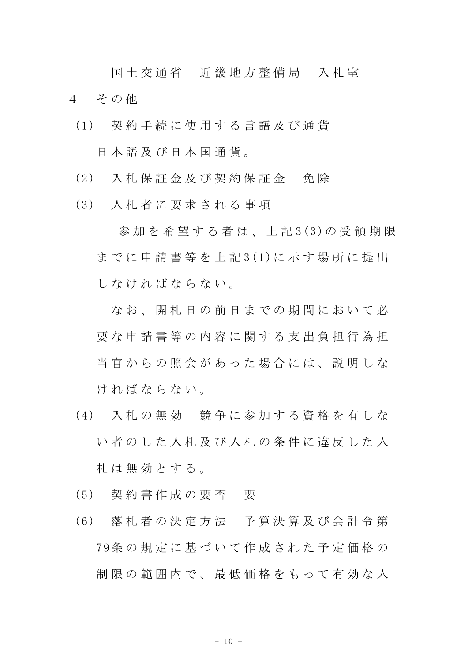国土 交 通 省 近 畿 地 方 整 備 局 入 札 室 4 その他

- (1) 契 約 手 続 に 使 用 す る 言 語 及 び 通 貨 日 本 語 及 び 日 本 国 通 貨 。
- (2) 入 札 保 証 金 及 び 契 約 保 証 金 免 除
- (3) 入 札 者 に 要 求 さ れ る 事 項

参加を希望する者は、上記3(3)の受領期限 までに申請書等を上記3(1)に示す場所に提出 し な け れ ば な ら な い。

なお、 開 札 日 の 前 日 ま で の 期 間 に お い て 必 要な申請書等の内容に関する支出負担行為担 当 官 か ら の 照 会 が あ っ た 場 合 に は 、 説 明 し な け れ ば な ら な い 。

- (4) 入 札 の 無 効 競 争 に 参 加 す る 資 格 を 有 し な い者のした入札及び入札の条件に違反した入 札 は 無 効 と す る 。
- (5) 契 約 書 作 成 の 要 否 要
- (6) 落 札 者 の 決 定 方 法 予 算 決 算 及 び 会 計 令 第 79条 の 規 定 に 基 づ い て 作 成 さ れ た 予 定 価 格 の 制限の範囲内で、最低価格をもって有効な入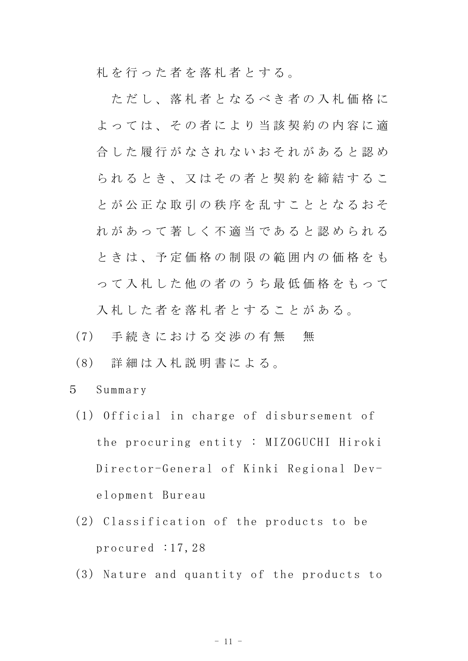札を行った者を落札者とする。

ただし、落札者となるべき者の入札価格に よっては、その者により当該契約の内容に適 合した履行がなされないおそれがあると認め られるとき、又はその者と契約を締結するこ と が 公 正 な 取 引 の 秩 序 を 乱 す こ と と な る お そ れがあって著しく不適当であると認められる ときは、予定価格の制限の範囲内の価格をも っ て 入 札 し た 他 の 者 の う ち 最 低 価 格 を も っ て 入札した者を落札者とすることがある。

- (7) 手続きにおける交渉の有無 無
- (8) 詳 細 は 入 札 説 明 書 に よ る 。
- 5 Summar y
	- $(1)$  Official in charge of disbursement of the procuring entity : MIZOGUCHI Hiroki Director-General of Kinki Regional Development Bureau
	- $(2)$  Classification of the products to be procured  $:17,28$
	- $(3)$  Nature and quantity of the products to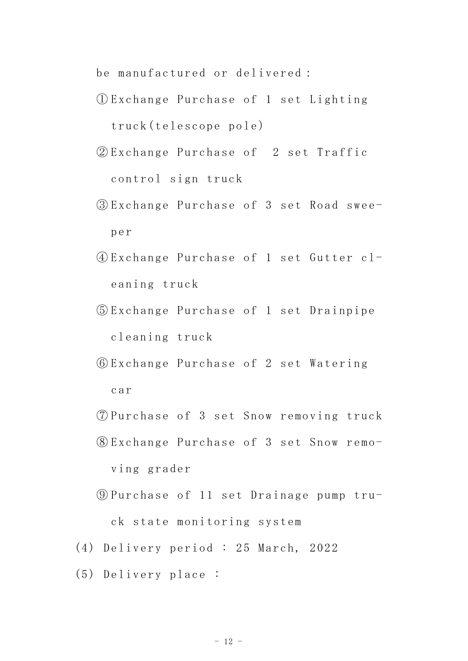be manufactured or delivered:

- ① Exchange Purchase of 1 set Lighting truck (telescope po le)
- 2) Exchange Purchase of 2 set Traffic control sign truck
- ③ Exchange Purchase of 3 set Road swe eper
- ④ Exch ange Purcha se of 1 set Gutter cleaning truck
- ⑤ Exch ange Purcha se of 1 set Drainpipe cleaning truck
- ⑥ Exch ange Purcha se of 2 set Watering car
- ⑦ Purc hase of 3 s et Snow remo ving truck
- ⑧ Exchange Purchase of 3 set Snow rem oving grader
- $\circledR$  Purchase of 11 set Drainage pump truck state monitoring system
- (4) Delivery period : 25 March, 2022
- (5) Delivery place: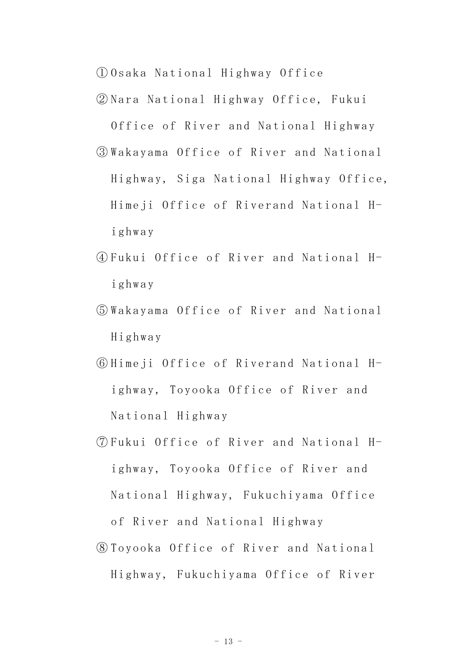① Osaka Natio nal Highway O ffice

② Nara Nation al Highway Of fice, Fukui

Office of River and National Highway ③ Wakayama Of fice of River and Nation al Highway, Siga National Highway Office, Himeji Office of Riverand National Highwa y

- ④ Fukui Offic e of River an d National Highwa y
- ⑤ Wakayama Of fice of River and Nation al Highway
- ⑥ Himeji Offi ce of Riveran d National Highway, Toyooka Office of River and Natio nal Highway
- ⑦ Fukui Offic e of River an d National Highway, Toyooka Office of River and National Highway, Fukuchiyama Office of River and National Highway
- ⑧ Toyooka Off ice of River and Nationa l Highway, Fukuchiyama Office of River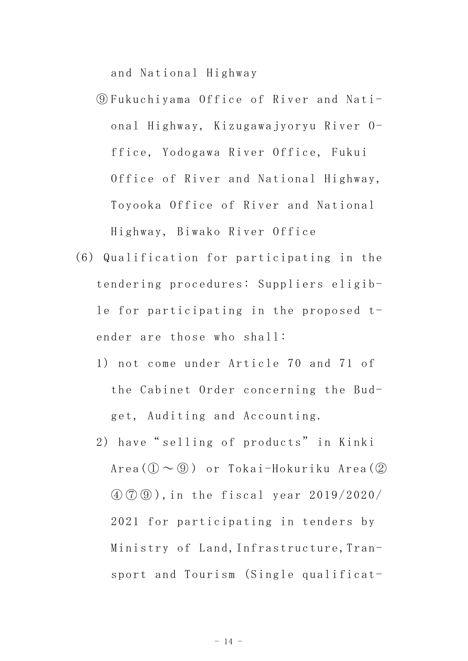and National Highway

- ⑨ Fukuchiyama Office of Ri ver and Nat ional Highway, Kizugawajyoryu River Office, Yodogawa River Office, Fukui Office of River and National Highway, Toyooka Office of River and National Highw ay, Biwako Ri ver Office
- $(6)$  Qualification for participating in the tendering procedures: Suppliers eligible for participating in the proposed  $t$ ender are those who shall:
	- 1) not come under Ar ticle 70 and 71 of the Cabinet Order concerning the Budget, Auditing and Accounting.
	- 2) have" selling of products" in Kinki  $Area$  (1)  $\sim$  9) or Tokai-Hokuriku Area (2)  $\left(\frac{1}{2}\right)\left(\frac{1}{2}\right)$ , in the fiscal year 2019/2020/ 2021 for participating in tenders by Ministry of Land, Infrastructure, Transport and Tourism (Single qualificat-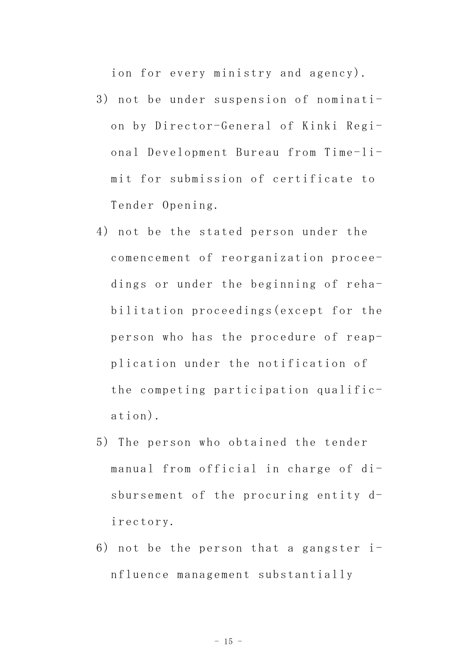ion for every ministry and agency).

- 3) not be under suspension of nomination by Director-General of Kinki Regional Development Bureau from Time-limit for submission of certificate to Tender Opening.
- 4) not be the stated person under the comencement of reorganization proceedings or under the beginning of rehabilitation proceedings (except for the person who has the procedure of reapplication under the notification of the competing participation qualific $ation).$
- 5) The person who obtained the tender manual from official in charge of disbursement of the procuring entity directory.
- 6) not be the person that a gangster  $i$ nfluence management substantially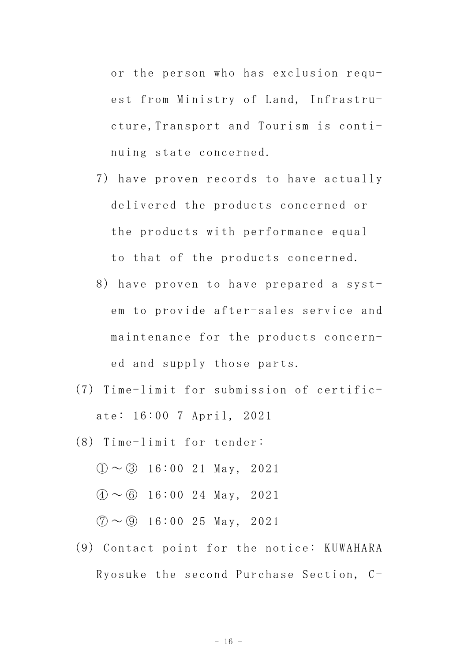or the person who has exclusion request from Ministry of Land, Infrastructure, Transport and Tourism is continuing state concerned.

- 7) have proven records to have actually delivered the products concerned or the products with performance equal to that of the products concerned.
- 8) have proven to have prepared a system to provide after-sales service and maintenance for the products concerned and supply those parts.
- (7) Time-limit for submission of certificate: 16:00 7 April, 2021
- $(8)$  Time-limit for tender:
	- $(1) \sim (3)$  16:00 21 May, 2021
	- $\textcircled{4} \sim \textcircled{6}$  16:00 24 May, 2021

 $\textcircled{7} \sim \textcircled{9}$  16:00 25 May, 2021

(9) Contact point for the notice: KUWAHARA Ryosuke the second Purchase Section, C-